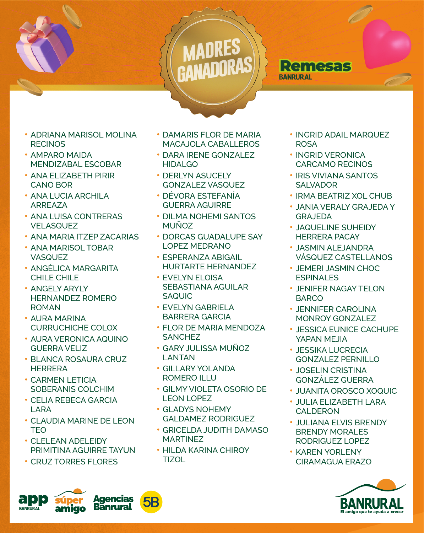

- **•** ADRIANA MARISOL MOLINA **RECINOS**
- **•** AMPARO MAIDA MENDIZABAL ESCOBAR
- **•** ANA ELIZABETH PIRIR CANO BOR
- **•** ANA LUCIA ARCHILA ARREAZA
- **•** ANA LUISA CONTRERAS VELASQUEZ
- **•** ANA MARIA ITZEP ZACARIAS
- **•** ANA MARISOL TOBAR **VASQUEZ**
- **•** ANGÉLICA MARGARITA CHILE CHILE
- **•** ANGELY ARYLY HERNANDEZ ROMERO ROMAN
- **•** AURA MARINA CURRUCHICHE COLOX
- **•** AURA VERONICA AQUINO GUERRA VELIZ
- **•** BLANCA ROSAURA CRUZ **HERRERA**
- **•** CARMEN LETICIA SOBERANIS COLCHIM
- **•** CELIA REBECA GARCIA LARA
- **•** CLAUDIA MARINE DE LEON **TFO**
- **•** CLELEAN ADELEIDY PRIMITINA AGUIRRE TAYUN
- **•** CRUZ TORRES FLORES



- **•** DARA IRENE GONZALEZ HIDALGO
- **•** DERLYN ASUCELY GONZALEZ VASQUEZ
- **•** DÉVORA ESTEFANÍA GUERRA AGUIRRE
- **•** DILMA NOHEMI SANTOS MUÑOZ
- **•** DORCAS GUADALUPE SAY LOPEZ MEDRANO
- **•** ESPERANZA ABIGAIL HURTARTE HERNANDEZ
- **•** EVELYN ELOISA SEBASTIANA AGUILAR SAQUIC
- **•** EVELYN GABRIELA BARRERA GARCIA
- **•** FLOR DE MARIA MENDOZA SANCHEZ
- **•** GARY JULISSA MUÑOZ LANTAN
- **•** GILLARY YOLANDA ROMERO ILLU
- **•** GILMY VIOLETA OSORIO DE LEON LOPEZ
- **•** GLADYS NOHEMY GALDAMEZ RODRIGUEZ
- **•** GRICELDA JUDITH DAMASO MARTINEZ
- **•** HILDA KARINA CHIROY TIZOL
- **•** INGRID ADAIL MARQUEZ ROSA
- **•** INGRID VERONICA CARCAMO RECINOS

Remesas

**BANRURAL** 

- **•** IRIS VIVIANA SANTOS SAI VADOR
- **•** IRMA BEATRIZ XOL CHUB
- **•** JANIA VERALY GRAJEDA Y GRAJEDA
- **•** JAQUELINE SUHEIDY HERRERA PACAY
- **•** JASMIN ALEJANDRA VÁSQUEZ CASTELLANOS
- **•** JEMERI JASMIN CHOC **ESPINALES**
- **•** JENIFER NAGAY TELON **BARCO**
- **•** JENNIFER CAROLINA MONROY GONZALEZ
- **•** JESSICA EUNICE CACHUPE YAPAN MEJIA
- **•** JESSIKA LUCRECIA GONZALEZ PERNILLO
- **•** JOSELIN CRISTINA GONZÁLEZ GUERRA
- **•** JUANITA OROSCO XOQUIC
- **•** JULIA ELIZABETH LARA CALDERON
- **•** JULIANA ELVIS BRENDY BRENDY MORALES RODRIGUEZ LOPEZ
- **•** KAREN YORLENY CIRAMAGUA ERAZO